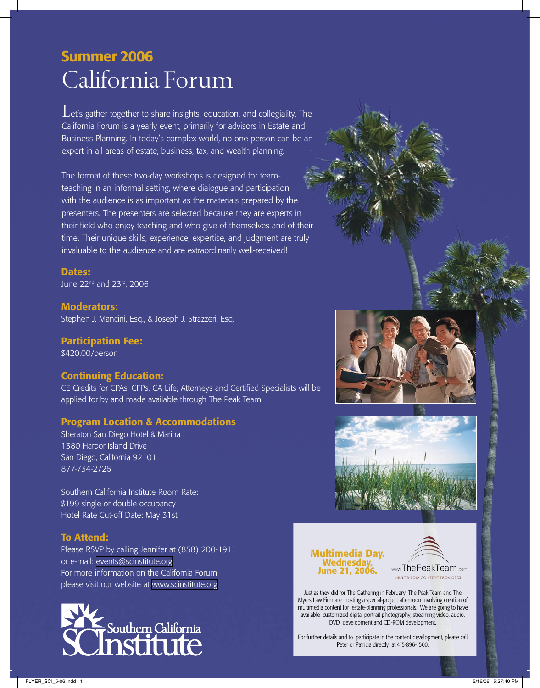# California Forum Summer 2006

Let's gather together to share insights, education, and collegiality. The California Forum is a yearly event, primarily for advisors in Estate and Business Planning. In today's complex world, no one person can be an expert in all areas of estate, business, tax, and wealth planning.

The format of these two-day workshops is designed for teamteaching in an informal setting, where dialogue and participation with the audience is as important as the materials prepared by the presenters. The presenters are selected because they are experts in their field who enjoy teaching and who give of themselves and of their time. Their unique skills, experience, expertise, and judgment are truly invaluable to the audience and are extraordinarily well-received!

Dates: June 22<sup>nd</sup> and 23<sup>rd</sup>, 2006

Moderators: Stephen J. Mancini, Esq., & Joseph J. Strazzeri, Esq.

Participation Fee: \$420.00/person

# Continuing Education:

CE Credits for CPAs, CFPs, CA Life, Attorneys and Certified Specialists will be applied for by and made available through The Peak Team.

# Program Location & Accommodations

Sheraton San Diego Hotel & Marina 1380 Harbor Island Drive San Diego, California 92101 877-734-2726

Southern California Institute Room Rate: \$199 single or double occupancy Hotel Rate Cut-off Date: May 31st

# To Attend:

Please RSVP by calling Jennifer at (858) 200-1911 or e-mail: [events@scinstitute.org.](mailto:events@scinstitute.org?subject=CA%20Forum%20RSVP) For more information on the California Forum please visit our website at [www.scinstitute.org](http://www.scinstitute.org)







# Multimedia Day. Wednesday, June 21, 2006.



Just as they did for The Gathering in February, The Peak Team and The Myers Law Firm are hosting a special-project afternoon involving creation of multimedia content for estate-planning professionals. We are going to have available customized digital portrait photography, streaming video, audio, DVD development and CD-ROM development.

For further details and to participate in the content development, please call Peter or Patricia directly at 415-896-1500.